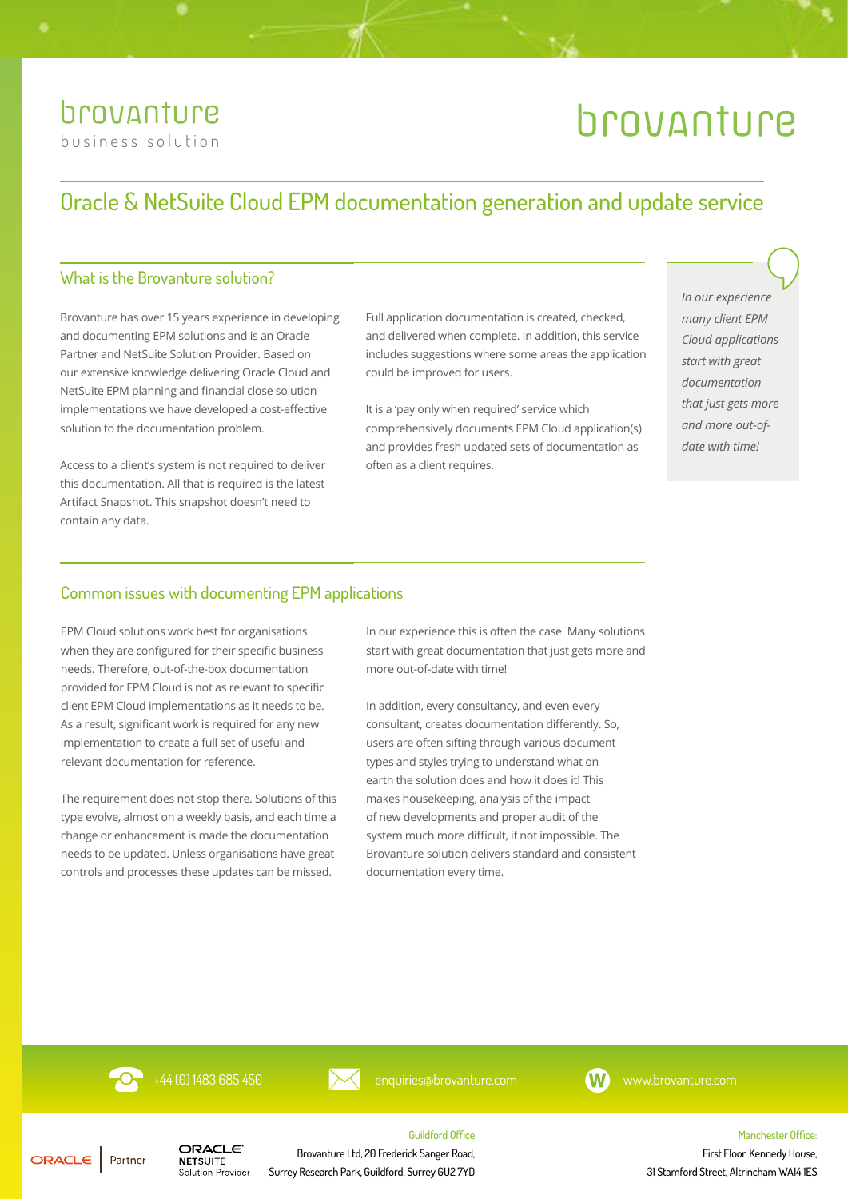# brovanture [business solution](https://brovanture.com/solutions/pbf/)

# brovanture

# Oracle & NetSuite Cloud EPM documentation generation and update service

## What is the Brovanture solution?

Brovanture has over 15 years experience in developing and documenting EPM solutions and is an Oracle Partner and NetSuite Solution Provider. Based on our extensive knowledge delivering Oracle Cloud and NetSuite EPM planning and financial close solution implementations we have developed a cost-effective solution to the documentation problem.

Access to a client's system is not required to deliver this documentation. All that is required is the latest Artifact Snapshot. This snapshot doesn't need to contain any data.

Full application documentation is created, checked, and delivered when complete. In addition, this service includes suggestions where some areas the application could be improved for users.

It is a 'pay only when required' service which comprehensively documents EPM Cloud application(s) and provides fresh updated sets of documentation as often as a client requires.

*In our experience many client EPM Cloud applications start with great documentation that just gets more and more out-ofdate with time!*

### Common issues with documenting EPM applications

EPM Cloud solutions work best for organisations when they are configured for their specific business needs. Therefore, out-of-the-box documentation provided for EPM Cloud is not as relevant to specific client EPM Cloud implementations as it needs to be. As a result, significant work is required for any new implementation to create a full set of useful and relevant documentation for reference.

The requirement does not stop there. Solutions of this type evolve, almost on a weekly basis, and each time a change or enhancement is made the documentation needs to be updated. Unless organisations have great controls and processes these updates can be missed.

In our experience this is often the case. Many solutions start with great documentation that just gets more and more out-of-date with time!

In addition, every consultancy, and even every consultant, creates documentation differently. So, users are often sifting through various document types and styles trying to understand what on earth the solution does and how it does it! This makes housekeeping, analysis of the impact of new developments and proper audit of the system much more difficult, if not impossible. The Brovanture solution delivers standard and consistent documentation every time.

**O** +44 (0) 1483 685 450 [enquiries@brovanture.com](mailto:enquiries%40brovanture.com?subject=Enquiry%20from%20Documentation%20Solutions%20Datasheet) [www.brovanture.com](http://brovanture.com/)

Guildford Office



#### ORACLE | Partner

**NETSUITE** Solution Provider

ORACLE

Brovanture Ltd, 20 Frederick Sanger Road, Surrey Research Park, Guildford, Surrey GU2 7YD Manchester Office:

First Floor, Kennedy House, 31 Stamford Street, Altrincham WA14 1ES